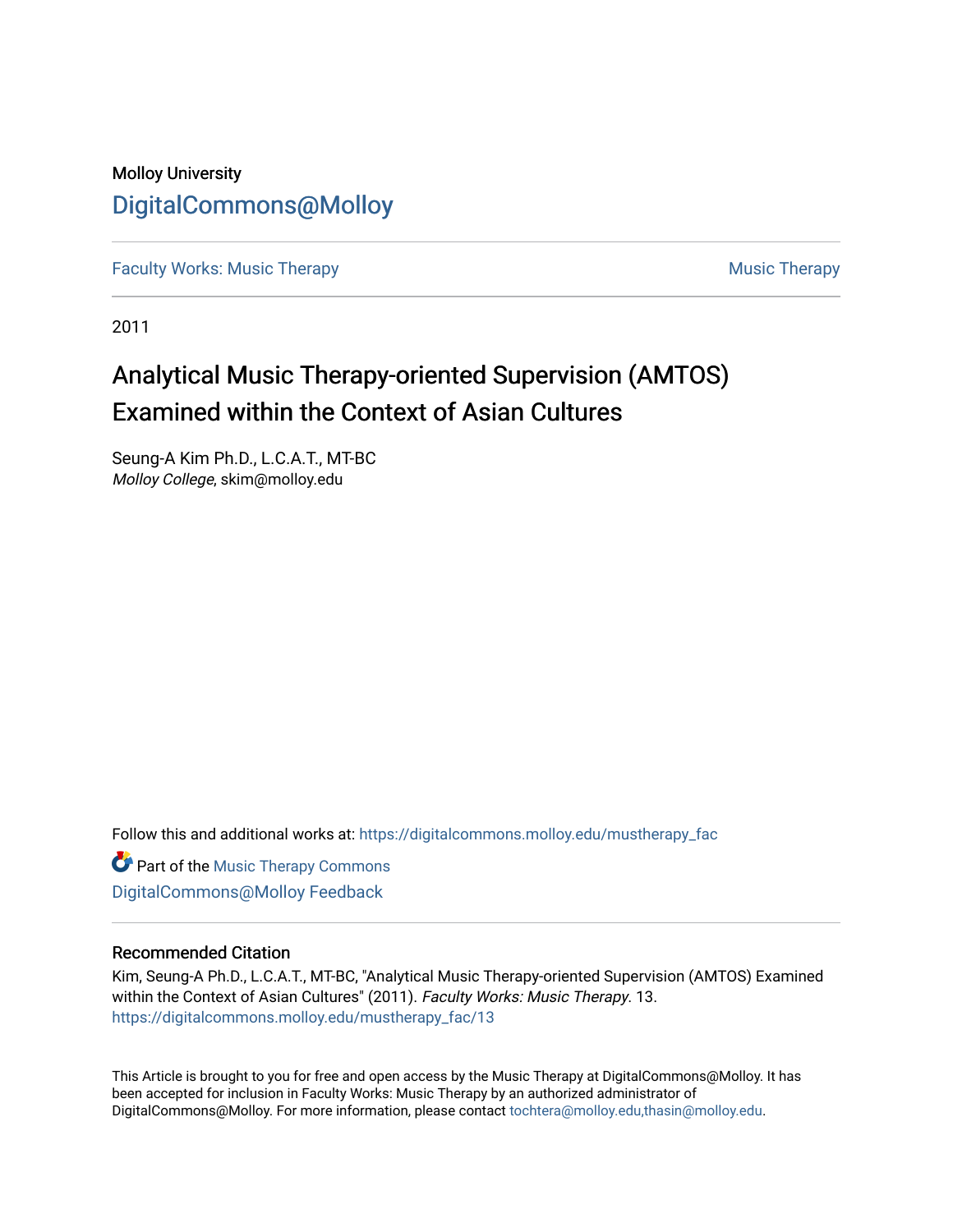## Molloy University [DigitalCommons@Molloy](https://digitalcommons.molloy.edu/)

[Faculty Works: Music Therapy](https://digitalcommons.molloy.edu/mustherapy_fac) [Music Therapy](https://digitalcommons.molloy.edu/mustherapy) Australian Security Music Therapy Music Therapy

2011

# Analytical Music Therapy-oriented Supervision (AMTOS) Examined within the Context of Asian Cultures

Seung-A Kim Ph.D., L.C.A.T., MT-BC Molloy College, skim@molloy.edu

Follow this and additional works at: [https://digitalcommons.molloy.edu/mustherapy\\_fac](https://digitalcommons.molloy.edu/mustherapy_fac?utm_source=digitalcommons.molloy.edu%2Fmustherapy_fac%2F13&utm_medium=PDF&utm_campaign=PDFCoverPages)

**Part of the [Music Therapy Commons](https://network.bepress.com/hgg/discipline/1248?utm_source=digitalcommons.molloy.edu%2Fmustherapy_fac%2F13&utm_medium=PDF&utm_campaign=PDFCoverPages)** [DigitalCommons@Molloy Feedback](https://molloy.libwizard.com/f/dcfeedback)

#### Recommended Citation

Kim, Seung-A Ph.D., L.C.A.T., MT-BC, "Analytical Music Therapy-oriented Supervision (AMTOS) Examined within the Context of Asian Cultures" (2011). Faculty Works: Music Therapy. 13. [https://digitalcommons.molloy.edu/mustherapy\\_fac/13](https://digitalcommons.molloy.edu/mustherapy_fac/13?utm_source=digitalcommons.molloy.edu%2Fmustherapy_fac%2F13&utm_medium=PDF&utm_campaign=PDFCoverPages) 

This Article is brought to you for free and open access by the Music Therapy at DigitalCommons@Molloy. It has been accepted for inclusion in Faculty Works: Music Therapy by an authorized administrator of DigitalCommons@Molloy. For more information, please contact [tochtera@molloy.edu,thasin@molloy.edu.](mailto:tochtera@molloy.edu,thasin@molloy.edu)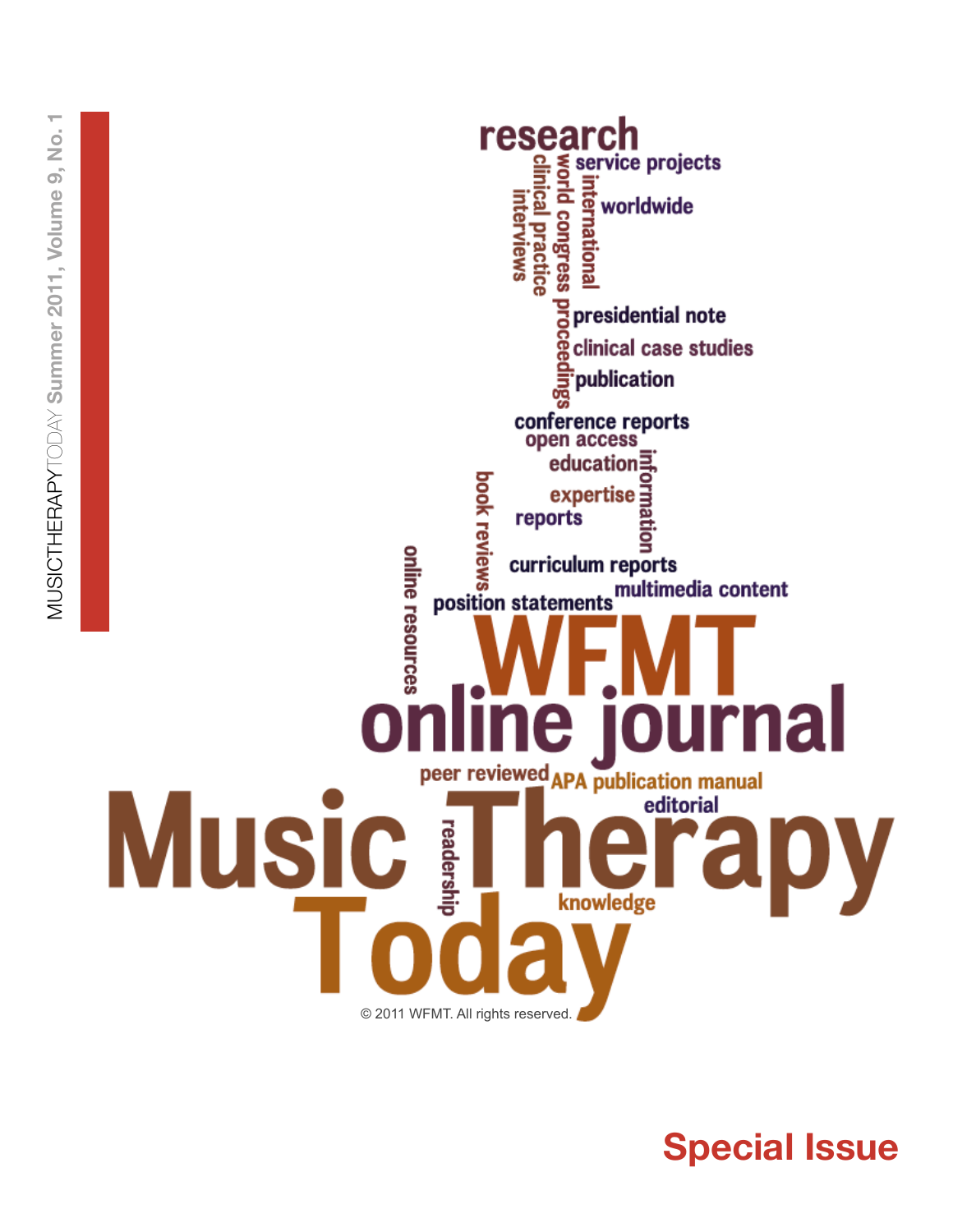

**Special Issue**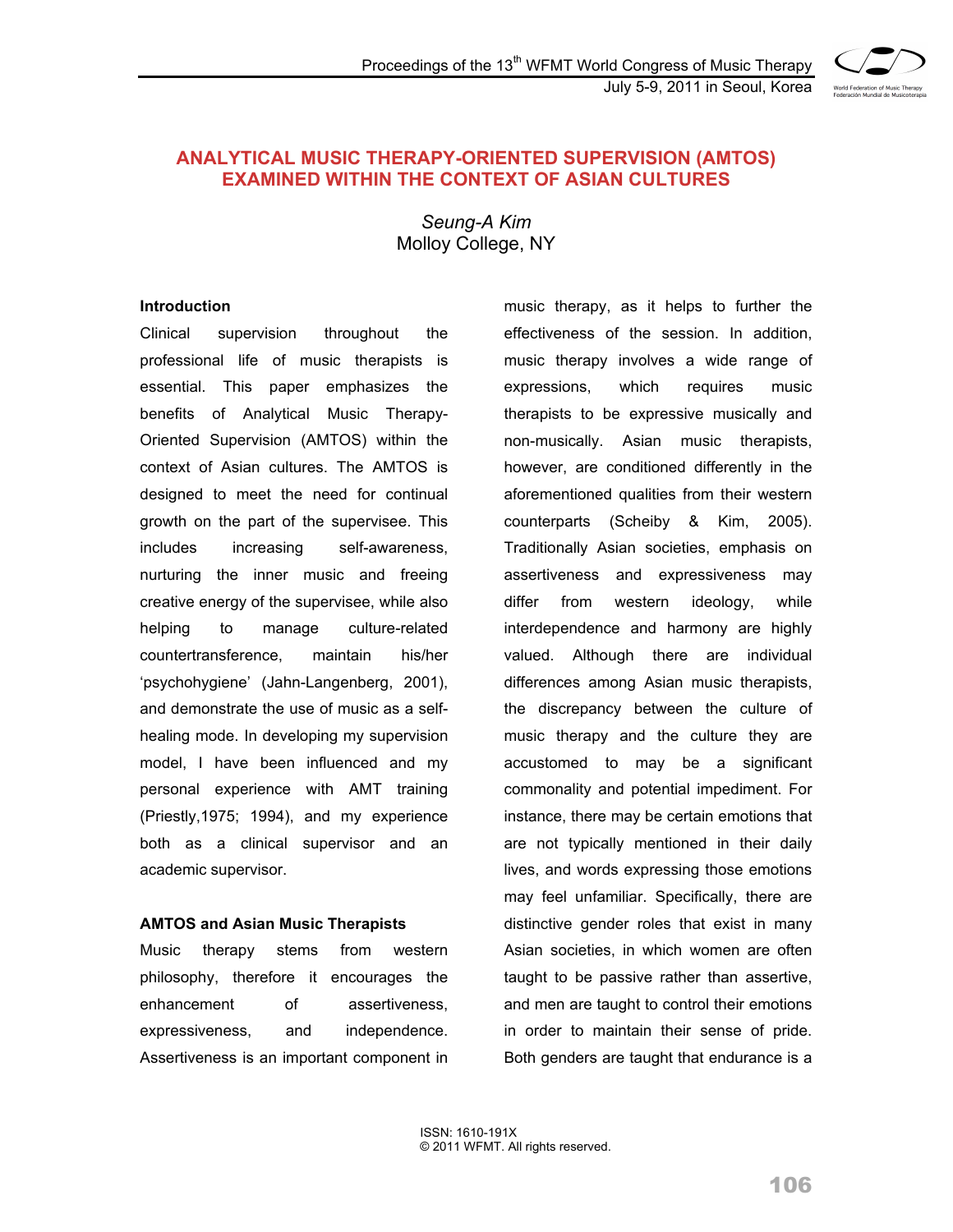

### **ANALYTICAL MUSIC THERAPY-ORIENTED SUPERVISION (AMTOS) EXAMINED WITHIN THE CONTEXT OF ASIAN CULTURES**

*Seung-A Kim*  Molloy College, NY

#### **Introduction**

Clinical supervision throughout the professional life of music therapists is essential. This paper emphasizes the benefits of Analytical Music Therapy-Oriented Supervision (AMTOS) within the context of Asian cultures. The AMTOS is designed to meet the need for continual growth on the part of the supervisee. This includes increasing self-awareness, nurturing the inner music and freeing creative energy of the supervisee, while also helping to manage culture-related countertransference, maintain his/her 'psychohygiene' (Jahn-Langenberg, 2001), and demonstrate the use of music as a selfhealing mode. In developing my supervision model, I have been influenced and my personal experience with AMT training (Priestly,1975; 1994), and my experience both as a clinical supervisor and an academic supervisor.

#### **AMTOS and Asian Music Therapists**

Music therapy stems from western philosophy, therefore it encourages the enhancement of assertiveness. expressiveness, and independence. Assertiveness is an important component in

music therapy, as it helps to further the effectiveness of the session. In addition, music therapy involves a wide range of expressions, which requires music therapists to be expressive musically and non-musically. Asian music therapists, however, are conditioned differently in the aforementioned qualities from their western counterparts (Scheiby & Kim, 2005). Traditionally Asian societies, emphasis on assertiveness and expressiveness may differ from western ideology, while interdependence and harmony are highly valued. Although there are individual differences among Asian music therapists, the discrepancy between the culture of music therapy and the culture they are accustomed to may be a significant commonality and potential impediment. For instance, there may be certain emotions that are not typically mentioned in their daily lives, and words expressing those emotions may feel unfamiliar. Specifically, there are distinctive gender roles that exist in many Asian societies, in which women are often taught to be passive rather than assertive, and men are taught to control their emotions in order to maintain their sense of pride. Both genders are taught that endurance is a